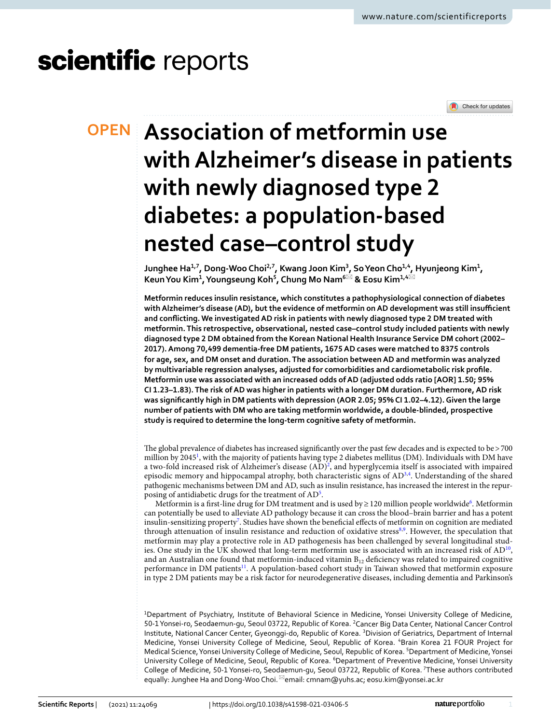# scientific reports



# **Association of metformin use OPEN withAlzheimer's disease in patients with newly diagnosed type 2 diabetes: a population‑based nested case–control study**

**Junghee Ha1,7, Dong‑Woo Choi2,7, Kwang Joon Kim3 , SoYeon Cho1,4, Hyunjeong Kim1 , KeunYou Kim1 , Youngseung Koh5 , Chung Mo Nam6**\* **& Eosu Kim1,4**\*

**Metformin reduces insulin resistance, which constitutes a pathophysiological connection of diabetes**  with Alzheimer's disease (AD), but the evidence of metformin on AD development was still insufficient **and conficting. We investigated AD risk in patients with newly diagnosed type 2 DM treated with metformin. This retrospective, observational, nested case–control study included patients with newly diagnosed type 2 DM obtained from the Korean National Health Insurance Service DM cohort (2002– 2017). Among 70,499 dementia-free DM patients, 1675 AD cases were matched to 8375 controls for age, sex, and DM onset and duration. The association between AD and metformin was analyzed by multivariable regression analyses, adjusted for comorbidities and cardiometabolic risk profle. Metformin use was associated with an increased odds of AD (adjusted odds ratio [AOR] 1.50; 95% CI 1.23–1.83). The risk of AD was higher in patients with a longer DM duration. Furthermore, AD risk was signifcantly high in DM patients with depression (AOR 2.05; 95% CI 1.02–4.12). Given the large number of patients with DM who are taking metformin worldwide, a double-blinded, prospective study is required to determine the long-term cognitive safety of metformin.**

The global prevalence of diabetes has increased significantly over the past few decades and is expected to be >700 million by 2045<sup>1</sup>, with the majority of patients having type 2 diabetes mellitus (DM). Individuals with DM have a two-fold increased risk of Alzheimer's disease  $(AD)^2$  $(AD)^2$ , and hyperglycemia itself is associated with impaired episodic memory and hippocampal atrophy, both characteristic signs of AD<sup>[3,](#page-7-2)[4](#page-7-3)</sup>. Understanding of the shared pathogenic mechanisms between DM and AD, such as insulin resistance, has increased the interest in the repur-posing of antidiabetic drugs for the treatment of AD<sup>[5](#page-7-4)</sup>.

Metformin is a first-line drug for DM treatment and is used by ≥ 120 million people worldwide<sup>6</sup>. Metformin can potentially be used to alleviate AD pathology because it can cross the blood–brain barrier and has a potent insulin-sensitizing propert[y7](#page-7-6) . Studies have shown the benefcial efects of metformin on cognition are mediated through attenuation of insulin resistance and reduction of oxidative stress<sup>8,[9](#page-7-8)</sup>. However, the speculation that metformin may play a protective role in AD pathogenesis has been challenged by several longitudinal studies. One study in the UK showed that long-term metformin use is associated with an increased risk of AD<sup>10</sup>, and an Australian one found that metformin-induced vitamin  $B_{12}$  deficiency was related to impaired cognitive performance in DM patients<sup>[11](#page-7-10)</sup>. A population-based cohort study in Taiwan showed that metformin exposure in type 2 DM patients may be a risk factor for neurodegenerative diseases, including dementia and Parkinson's

1 Department of Psychiatry, Institute of Behavioral Science in Medicine, Yonsei University College of Medicine, 50-1 Yonsei-ro, Seodaemun-gu, Seoul 03722, Republic of Korea. <sup>2</sup> Cancer Big Data Center, National Cancer Control Institute, National Cancer Center, Gyeonggi-do, Republic of Korea. <sup>3</sup>Division of Geriatrics, Department of Internal Medicine, Yonsei University College of Medicine, Seoul, Republic of Korea. 4 Brain Korea 21 FOUR Project for Medical Science, Yonsei University College of Medicine, Seoul, Republic of Korea. <sup>5</sup>Department of Medicine, Yonsei University College of Medicine, Seoul, Republic of Korea. <sup>6</sup>Department of Preventive Medicine, Yonsei University College of Medicine, 50‑1 Yonsei‑ro, Seodaemun‑gu, Seoul 03722, Republic of Korea. 7These authors contributed equally: Junghee Ha and Dong-Woo Choi. <sup>[2]</sup>email: cmnam@yuhs.ac; eosu.kim@yonsei.ac.kr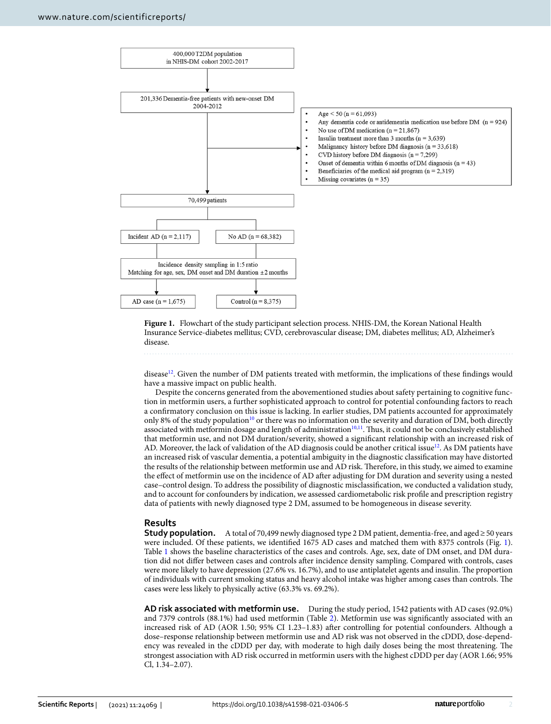

<span id="page-1-0"></span>**Figure 1.** Flowchart of the study participant selection process. NHIS-DM, the Korean National Health Insurance Service-diabetes mellitus; CVD, cerebrovascular disease; DM, diabetes mellitus; AD, Alzheimer's disease.

disease<sup>[12](#page-7-11)</sup>. Given the number of DM patients treated with metformin, the implications of these findings would have a massive impact on public health.

Despite the concerns generated from the abovementioned studies about safety pertaining to cognitive function in metformin users, a further sophisticated approach to control for potential confounding factors to reach a confrmatory conclusion on this issue is lacking. In earlier studies, DM patients accounted for approximately only 8% of the study population<sup>10</sup> or there was no information on the severity and duration of DM, both directly associated with metformin dosage and length of administration $10,11$  $10,11$  $10,11$ . Thus, it could not be conclusively established that metformin use, and not DM duration/severity, showed a signifcant relationship with an increased risk of AD. Moreover, the lack of validation of the AD diagnosis could be another critical issue<sup>[12](#page-7-11)</sup>. As DM patients have an increased risk of vascular dementia, a potential ambiguity in the diagnostic classifcation may have distorted the results of the relationship between metformin use and AD risk. Terefore, in this study, we aimed to examine the efect of metformin use on the incidence of AD afer adjusting for DM duration and severity using a nested case–control design. To address the possibility of diagnostic misclassifcation, we conducted a validation study, and to account for confounders by indication, we assessed cardiometabolic risk profle and prescription registry data of patients with newly diagnosed type 2 DM, assumed to be homogeneous in disease severity.

### **Results**

**Study population.** A total of 70,499 newly diagnosed type 2 DM patient, dementia-free, and aged≥50 years were included. Of these patients, we identifed 1675 AD cases and matched them with 8375 controls (Fig. [1](#page-1-0)). Table [1](#page-2-0) shows the baseline characteristics of the cases and controls. Age, sex, date of DM onset, and DM duration did not difer between cases and controls afer incidence density sampling. Compared with controls, cases were more likely to have depression (27.6% vs. 16.7%), and to use antiplatelet agents and insulin. The proportion of individuals with current smoking status and heavy alcohol intake was higher among cases than controls. The cases were less likely to physically active (63.3% vs. 69.2%).

**AD risk associated with metformin use.** During the study period, 1542 patients with AD cases (92.0%) and 7379 controls (88.1%) had used metformin (Table [2\)](#page-3-0). Metformin use was signifcantly associated with an increased risk of AD (AOR 1.50; 95% CI 1.23–1.83) afer controlling for potential confounders. Although a dose–response relationship between metformin use and AD risk was not observed in the cDDD, dose-dependency was revealed in the cDDD per day, with moderate to high daily doses being the most threatening. The strongest association with AD risk occurred in metformin users with the highest cDDD per day (AOR 1.66; 95% Cl, 1.34–2.07).

2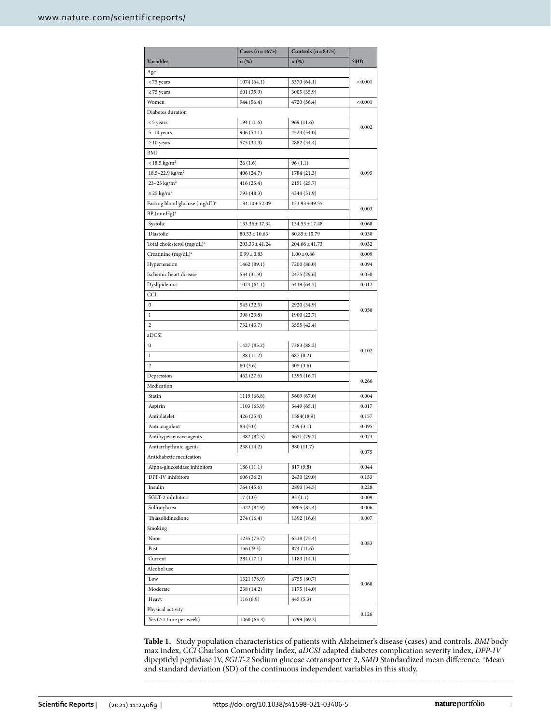|                                            | Cases $(n = 1675)$ | Controls $(n=8375)$ |            |  |  |
|--------------------------------------------|--------------------|---------------------|------------|--|--|
| <b>Variables</b>                           | n (%)              | $n(\%)$             | <b>SMD</b> |  |  |
| Age                                        |                    |                     |            |  |  |
| <75 years                                  | 1074(64.1)         | 5370 (64.1)         | < 0.001    |  |  |
| $\geq$ 75 years                            | 601 (35.9)         | 3005 (35.9)         |            |  |  |
| Women                                      | 944 (56.4)         | 4720 (56.4)         | < 0.001    |  |  |
| Diabetes duration                          |                    |                     |            |  |  |
| <5 years                                   | 194 (11.6)         | 969 (11.6)          |            |  |  |
| $5-10$ years                               | 906 (54.1)         | 4524 (54.0)         | 0.002      |  |  |
| $\geq 10$ years                            | 575 (34.3)         | 2882 (34.4)         |            |  |  |
| BMI                                        |                    |                     |            |  |  |
| $<$ 18.5 kg/m <sup>2</sup>                 | 26(1.6)            | 96(1.1)             |            |  |  |
| 18.5-22.9 kg/m <sup>2</sup>                | 406 (24.7)         | 1784 (21.3)         | 0.095      |  |  |
| 23-25 $\text{kg/m}^2$                      | 416 (25.4)         | 2151 (25.7)         |            |  |  |
| $\geq$ 25 kg/m <sup>2</sup>                | 793 (48.3)         | 4344 (51.9)         |            |  |  |
| Fasting blood glucose (mg/dL) <sup>a</sup> | $134.10 \pm 52.09$ | $133.93 \pm 49.55$  | 0.003      |  |  |
| $BP$ (mmHg) <sup>a</sup>                   |                    |                     |            |  |  |
| Systolic                                   | $133.36 \pm 17.34$ | $134.53 \pm 17.48$  | 0.068      |  |  |
| Diastolic                                  | $80.53 \pm 10.63$  | $80.85 \pm 10.79$   | 0.030      |  |  |
| Total cholesterol (mg/dL) <sup>a</sup>     | $203.33 \pm 41.24$ | $204.66 \pm 41.73$  | 0.032      |  |  |
| Creatinine (mg/dL) <sup>a</sup>            | $0.99 \pm 0.83$    | $1.00 \pm 0.86$     | 0.009      |  |  |
| Hypertension                               | 1462 (89.1)        | 7200 (86.0)         | 0.094      |  |  |
| Ischemic heart disease                     | 534 (31.9)         | 2475 (29.6)         | 0.050      |  |  |
| Dyslipidemia                               | 1074(64.1)         | 5419 (64.7)         | 0.012      |  |  |
| CCI                                        |                    |                     |            |  |  |
| $\bf{0}$                                   | 545 (32.5)         | 2920 (34.9)         | 0.050      |  |  |
| 1                                          | 398 (23.8)         | 1900 (22.7)         |            |  |  |
| 2                                          | 732 (43.7)         | 3555 (42.4)         |            |  |  |
| aDCSI                                      |                    |                     |            |  |  |
| 0                                          | 1427 (85.2)        | 7383 (88.2)         | 0.102      |  |  |
| 1                                          | 188 (11.2)         | 687 (8.2)           |            |  |  |
| 2                                          | 60(3.6)            | 305(3.6)            |            |  |  |
| Depression                                 | 462 (27.6)         | 1395 (16.7)         | 0.266      |  |  |
| Medication                                 |                    |                     |            |  |  |
| Statin                                     | 1119 (66.8)        | 5609 (67.0)         | 0.004      |  |  |
| Aspirin                                    | 1103 (65.9)        | 5449 (65.1)         | 0.017      |  |  |
| Antiplatelet                               | 426 (25.4)         | 1584(18.9)          | 0.157      |  |  |
| Anticoagulant                              | 83 (5.0)           | 259(3.1)            | 0.095      |  |  |
| Antihypertensive agents                    | 1382 (82.5)        | 6671 (79.7)         | 0.073      |  |  |
| Antiarrhythmic agents                      | 238 (14.2)         | 980 (11.7)          | 0.075      |  |  |
| Antidiabetic medication                    |                    |                     |            |  |  |
| Alpha-glucosidase inhibitors               | 186 (11.1)         | 817 (9.8)           | 0.044      |  |  |
| DPP-IV inhibitors                          | 606 (36.2)         | 2430 (29.0)         | 0.153      |  |  |
| Insulin                                    | 764 (45.6)         | 2890 (34.5)         | 0.228      |  |  |
| SGLT-2 inhibitors                          | 17(1.0)            | 93(1.1)             | 0.009      |  |  |
| Sulfonylurea                               | 1422 (84.9)        | 6905 (82.4)         | 0.006      |  |  |
| Thiazolidinedione                          | 274 (16.4)         | 1392 (16.6)         | 0.007      |  |  |
| Smoking                                    |                    |                     |            |  |  |
| None                                       | 1235 (73.7)        | 6318 (75.4)         | 0.083      |  |  |
| Past                                       | 156(9.3)           | 874 (11.6)          |            |  |  |
| Current                                    | 284 (17.1)         | 1183 (14.1)         |            |  |  |
| Alcohol use                                |                    |                     |            |  |  |
| Low                                        | 1321 (78.9)        | 6755 (80.7)         | 0.068      |  |  |
| Moderate                                   | 238 (14.2)         | 1175 (14.0)         |            |  |  |
| Heavy                                      | 116(6.9)           | 445 (5.3)           |            |  |  |
| Physical activity                          |                    |                     |            |  |  |
| Yes $( \geq 1$ time per week)              | 1060 (63.3)        | 5799 (69.2)         | 0.126      |  |  |

<span id="page-2-0"></span>**Table 1.** Study population characteristics of patients with Alzheimer's disease (cases) and controls. *BMI* body max index, *CCI* Charlson Comorbidity Index, *aDCSI* adapted diabetes complication severity index, *DPP-IV* dipeptidyl peptidase IV, *SGLT-2* Sodium glucose cotransporter 2, *SMD* Standardized mean diference. a Mean and standard deviation (SD) of the continuous independent variables in this study.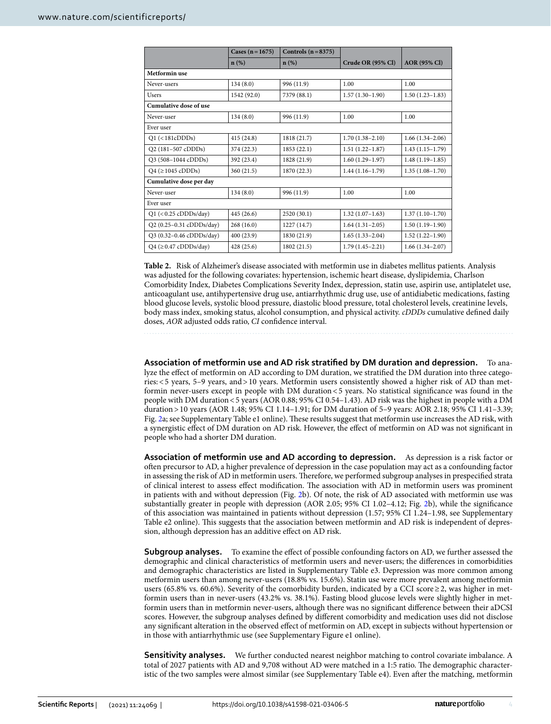|                               | Cases $(n = 1675)$ | Controls $(n=8375)$ |                     |                     |  |  |  |
|-------------------------------|--------------------|---------------------|---------------------|---------------------|--|--|--|
|                               | $n(\%)$            | $n(\%)$             | Crude OR (95% Cl)   | <b>AOR</b> (95% Cl) |  |  |  |
| Metformin use                 |                    |                     |                     |                     |  |  |  |
| Never-users                   | 134(8.0)           | 996 (11.9)          | 1.00                | 1.00                |  |  |  |
| Users                         | 1542 (92.0)        | 7379 (88.1)         | $1.57(1.30-1.90)$   | $1.50(1.23-1.83)$   |  |  |  |
| Cumulative dose of use        |                    |                     |                     |                     |  |  |  |
| Never-user                    | 134(8.0)           | 996 (11.9)          | 1.00                | 1.00                |  |  |  |
| Ever user                     |                    |                     |                     |                     |  |  |  |
| $Q1$ (<181cDDDs)              | 415(24.8)          | 1818 (21.7)         | $1.70(1.38 - 2.10)$ | $1.66(1.34-2.06)$   |  |  |  |
| Q2 (181-507 cDDDs)            | 374(22.3)          | 1853 (22.1)         | $1.51(1.22 - 1.87)$ | $1.43(1.15-1.79)$   |  |  |  |
| Q3 (508-1044 cDDDs)           | 392 (23.4)         | 1828 (21.9)         | $1.60(1.29-1.97)$   | $1.48(1.19-1.85)$   |  |  |  |
| $Q4 \approx 1045$ cDDDs)      | 360 (21.5)         | 1870 (22.3)         | $1.44(1.16-1.79)$   | $1.35(1.08-1.70)$   |  |  |  |
| Cumulative dose per day       |                    |                     |                     |                     |  |  |  |
| Never-user                    | 134(8.0)           | 996 (11.9)          | 1.00                | 1.00                |  |  |  |
| Ever user                     |                    |                     |                     |                     |  |  |  |
| $Q1$ (<0.25 cDDDs/day)        | 445 (26.6)         | 2520 (30.1)         | $1.32(1.07-1.63)$   | $1.37(1.10-1.70)$   |  |  |  |
| Q2 (0.25-0.31 cDDDs/day)      | 268(16.0)          | 1227(14.7)          | $1.64(1.31-2.05)$   | $1.50(1.19-1.90)$   |  |  |  |
| Q3 (0.32-0.46 cDDDs/day)      | 400 (23.9)         | 1830 (21.9)         | $1.65(1.33-2.04)$   | $1.52(1.22 - 1.90)$ |  |  |  |
| $Q4$ ( $\geq$ 0.47 cDDDs/day) | 428 (25.6)         | 1802 (21.5)         | $1.79(1.45 - 2.21)$ | $1.66(1.34-2.07)$   |  |  |  |

<span id="page-3-0"></span>**Table 2.** Risk of Alzheimer's disease associated with metformin use in diabetes mellitus patients. Analysis was adjusted for the following covariates: hypertension, ischemic heart disease, dyslipidemia, Charlson Comorbidity Index, Diabetes Complications Severity Index, depression, statin use, aspirin use, antiplatelet use, anticoagulant use, antihypertensive drug use, antiarrhythmic drug use, use of antidiabetic medications, fasting blood glucose levels, systolic blood pressure, diastolic blood pressure, total cholesterol levels, creatinine levels, body mass index, smoking status, alcohol consumption, and physical activity. *cDDDs* cumulative defned daily doses, *AOR* adjusted odds ratio, *CI* confdence interval.

**Association of metformin use and AD risk stratifed by DM duration and depression.** To analyze the efect of metformin on AD according to DM duration, we stratifed the DM duration into three categories:<5 years, 5–9 years, and>10 years. Metformin users consistently showed a higher risk of AD than metformin never-users except in people with DM duration<5 years. No statistical signifcance was found in the people with DM duration<5 years (AOR 0.88; 95% CI 0.54–1.43). AD risk was the highest in people with a DM duration>10 years (AOR 1.48; 95% CI 1.14–1.91; for DM duration of 5–9 years: AOR 2.18; 95% CI 1.41–3.39; Fig. [2](#page-4-0)a; see Supplementary Table e1 online). These results suggest that metformin use increases the AD risk, with a synergistic effect of DM duration on AD risk. However, the effect of metformin on AD was not significant in people who had a shorter DM duration.

**Association of metformin use and AD according to depression.** As depression is a risk factor or ofen precursor to AD, a higher prevalence of depression in the case population may act as a confounding factor in assessing the risk of AD in metformin users. Therefore, we performed subgroup analyses in prespecified strata of clinical interest to assess effect modification. The association with AD in metformin users was prominent in patients with and without depression (Fig. [2b](#page-4-0)). Of note, the risk of AD associated with metformin use was substantially greater in people with depression (AOR 2.05; 95% CI 1.02–4.12; Fig. [2b](#page-4-0)), while the signifcance of this association was maintained in patients without depression (1.57; 95% CI 1.24–1.98, see Supplementary Table e2 online). This suggests that the association between metformin and AD risk is independent of depression, although depression has an additive efect on AD risk.

**Subgroup analyses.** To examine the effect of possible confounding factors on AD, we further assessed the demographic and clinical characteristics of metformin users and never-users; the diferences in comorbidities and demographic characteristics are listed in Supplementary Table e3. Depression was more common among metformin users than among never-users (18.8% vs. 15.6%). Statin use were more prevalent among metformin users (65.8% vs. 60.6%). Severity of the comorbidity burden, indicated by a CCI score≥2, was higher in metformin users than in never-users (43.2% vs. 38.1%). Fasting blood glucose levels were slightly higher in metformin users than in metformin never-users, although there was no signifcant diference between their aDCSI scores. However, the subgroup analyses defned by diferent comorbidity and medication uses did not disclose any signifcant alteration in the observed efect of metformin on AD, except in subjects without hypertension or in those with antiarrhythmic use (see Supplementary Figure e1 online).

**Sensitivity analyses.** We further conducted nearest neighbor matching to control covariate imbalance. A total of 2027 patients with AD and 9,708 without AD were matched in a 1:5 ratio. The demographic characteristic of the two samples were almost similar (see Supplementary Table e4). Even afer the matching, metformin

4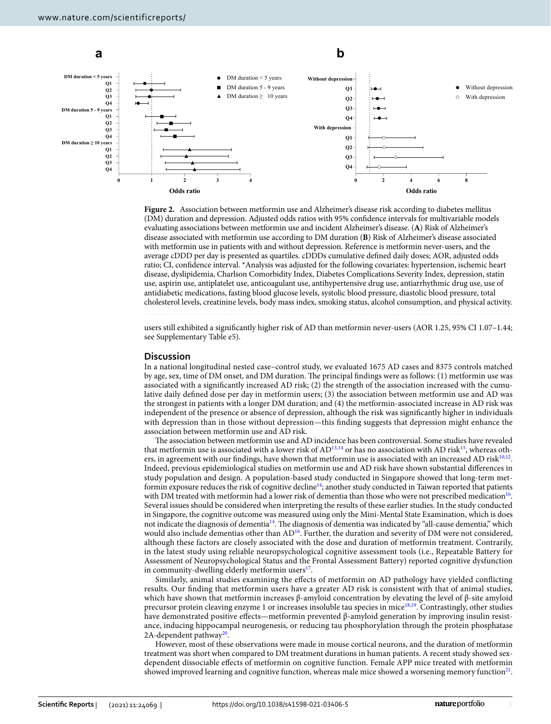

<span id="page-4-0"></span>**Figure 2.** Association between metformin use and Alzheimer's disease risk according to diabetes mellitus (DM) duration and depression. Adjusted odds ratios with 95% confdence intervals for multivariable models evaluating associations between metformin use and incident Alzheimer's disease. (**A**) Risk of Alzheimer's disease associated with metformin use according to DM duration (**B**) Risk of Alzheimer's disease associated with metformin use in patients with and without depression. Reference is metformin never-users, and the average cDDD per day is presented as quartiles. cDDDs cumulative defned daily doses; AOR, adjusted odds ratio; CI, confdence interval. \*Analysis was adjusted for the following covariates: hypertension, ischemic heart disease, dyslipidemia, Charlson Comorbidity Index, Diabetes Complications Severity Index, depression, statin use, aspirin use, antiplatelet use, anticoagulant use, antihypertensive drug use, antiarrhythmic drug use, use of antidiabetic medications, fasting blood glucose levels, systolic blood pressure, diastolic blood pressure, total cholesterol levels, creatinine levels, body mass index, smoking status, alcohol consumption, and physical activity.

users still exhibited a signifcantly higher risk of AD than metformin never-users (AOR 1.25, 95% CI 1.07–1.44; see Supplementary Table e5).

#### **Discussion**

In a national longitudinal nested case–control study, we evaluated 1675 AD cases and 8375 controls matched by age, sex, time of DM onset, and DM duration. The principal findings were as follows: (1) metformin use was associated with a signifcantly increased AD risk; (2) the strength of the association increased with the cumulative daily defned dose per day in metformin users; (3) the association between metformin use and AD was the strongest in patients with a longer DM duration; and (4) the metformin-associated increase in AD risk was independent of the presence or absence of depression, although the risk was signifcantly higher in individuals with depression than in those without depression—this fnding suggests that depression might enhance the association between metformin use and AD risk.

The association between metformin use and AD incidence has been controversial. Some studies have revealed that metformin use is associated with a lower risk of  $AD^{13,14}$  $AD^{13,14}$  $AD^{13,14}$  or has no association with AD risk<sup>[15](#page-7-14)</sup>, whereas others, in agreement with our findings, have shown that metformin use is associated with an increased AD risk $10,12$  $10,12$ . Indeed, previous epidemiological studies on metformin use and AD risk have shown substantial diferences in study population and design. A population-based study conducted in Singapore showed that long-term metformin exposure reduces the risk of cognitive decline<sup>14</sup>; another study conducted in Taiwan reported that patients with DM treated with metformin had a lower risk of dementia than those who were not prescribed medication<sup>[16](#page-7-15)</sup>. Several issues should be considered when interpreting the results of these earlier studies. In the study conducted in Singapore, the cognitive outcome was measured using only the Mini-Mental State Examination, which is does not indicate the diagnosis of dementia<sup>14</sup>. The diagnosis of dementia was indicated by "all-cause dementia," which would also include dementias other than AD<sup>[16](#page-7-15)</sup>. Further, the duration and severity of DM were not considered, although these factors are closely associated with the dose and duration of metformin treatment. Contrarily, in the latest study using reliable neuropsychological cognitive assessment tools (i.e., Repeatable Battery for Assessment of Neuropsychological Status and the Frontal Assessment Battery) reported cognitive dysfunction in community-dwelling elderly metformin users<sup>17</sup>.

Similarly, animal studies examining the efects of metformin on AD pathology have yielded conficting results. Our fnding that metformin users have a greater AD risk is consistent with that of animal studies, which have shown that metformin increases β-amyloid concentration by elevating the level of β-site amyloid precursor protein cleaving enzyme 1 or increases insoluble tau species in mice<sup>18,[19](#page-7-18)</sup>. Contrastingly, other studies have demonstrated positive efects—metformin prevented β-amyloid generation by improving insulin resistance, inducing hippocampal neurogenesis, or reducing tau phosphorylation through the protein phosphatase 2A-dependent pathway<sup>20</sup>.

However, most of these observations were made in mouse cortical neurons, and the duration of metformin treatment was short when compared to DM treatment durations in human patients. A recent study showed sexdependent dissociable efects of metformin on cognitive function. Female APP mice treated with metformin showed improved learning and cognitive function, whereas male mice showed a worsening memory function $21$ .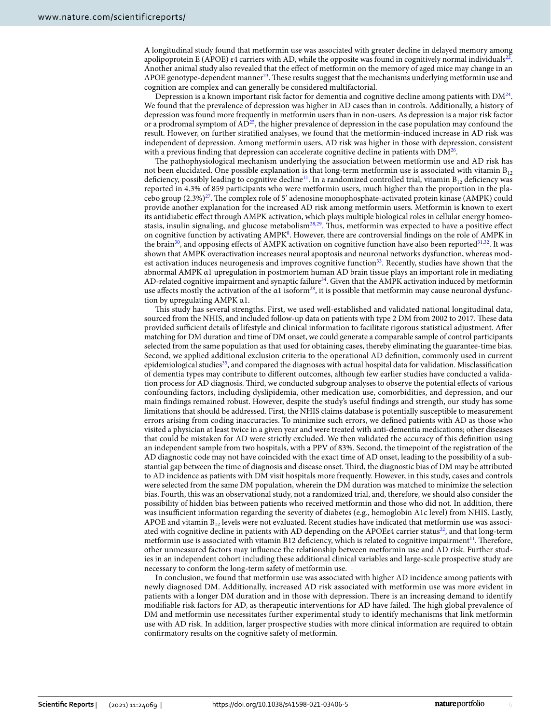A longitudinal study found that metformin use was associated with greater decline in delayed memory among apolipoprotein E (APOE)  $\varepsilon$ 4 carriers with AD, while the opposite was found in cognitively normal individuals<sup>[22](#page-7-21)</sup>. Another animal study also revealed that the efect of metformin on the memory of aged mice may change in an APOE genotype-dependent manner<sup>[23](#page-7-22)</sup>. These results suggest that the mechanisms underlying metformin use and cognition are complex and can generally be considered multifactorial.

Depression is a known important risk factor for dementia and cognitive decline among patients with  $DM^{24}$ . We found that the prevalence of depression was higher in AD cases than in controls. Additionally, a history of depression was found more frequently in metformin users than in non-users. As depression is a major risk factor or a prodromal symptom of  $AD^{25}$  $AD^{25}$  $AD^{25}$ , the higher prevalence of depression in the case population may confound the result. However, on further stratifed analyses, we found that the metformin-induced increase in AD risk was independent of depression. Among metformin users, AD risk was higher in those with depression, consistent with a previous finding that depression can accelerate cognitive decline in patients with  $DM^{26}$ .

The pathophysiological mechanism underlying the association between metformin use and AD risk has not been elucidated. One possible explanation is that long-term metformin use is associated with vitamin  $B_{12}$ deficiency, possibly leading to cognitive decline<sup>[11](#page-7-10)</sup>. In a randomized controlled trial, vitamin  $B_{12}$  deficiency was reported in 4.3% of 859 participants who were metformin users, much higher than the proportion in the placebo group (2.3%)<sup>27</sup>. The complex role of 5' adenosine monophosphate-activated protein kinase (AMPK) could provide another explanation for the increased AD risk among metformin users. Metformin is known to exert its antidiabetic efect through AMPK activation, which plays multiple biological roles in cellular energy homeo-stasis, insulin signaling, and glucose metabolism<sup>[28,](#page-7-27)29</sup>. Thus, metformin was expected to have a positive effect on cognitive function by activating AMPK<sup>8</sup>. However, there are controversial findings on the role of AMPK in the brain<sup>[30](#page-7-29)</sup>, and opposing effects of AMPK activation on cognitive function have also been reported<sup>31,32</sup>. It was shown that AMPK overactivation increases neural apoptosis and neuronal networks dysfunction, whereas modest activation induces neurogenesis and improves cognitive function<sup>33</sup>. Recently, studies have shown that the abnormal AMPK α1 upregulation in postmortem human AD brain tissue plays an important role in mediating AD-related cognitive impairment and synaptic failure<sup>34</sup>. Given that the AMPK activation induced by metformin use affects mostly the activation of the  $\alpha$ 1 isoform<sup>28</sup>, it is possible that metformin may cause neuronal dysfunction by upregulating AMPK α1.

Tis study has several strengths. First, we used well-established and validated national longitudinal data, sourced from the NHIS, and included follow-up data on patients with type 2 DM from 2002 to 2017. These data provided sufficient details of lifestyle and clinical information to facilitate rigorous statistical adjustment. After matching for DM duration and time of DM onset, we could generate a comparable sample of control participants selected from the same population as that used for obtaining cases, thereby eliminating the guarantee-time bias. Second, we applied additional exclusion criteria to the operational AD defnition, commonly used in current epidemiological studies<sup>35</sup>, and compared the diagnoses with actual hospital data for validation. Misclassification of dementia types may contribute to diferent outcomes, although few earlier studies have conducted a validation process for AD diagnosis. Tird, we conducted subgroup analyses to observe the potential efects of various confounding factors, including dyslipidemia, other medication use, comorbidities, and depression, and our main fndings remained robust. However, despite the study's useful fndings and strength, our study has some limitations that should be addressed. First, the NHIS claims database is potentially susceptible to measurement errors arising from coding inaccuracies. To minimize such errors, we defned patients with AD as those who visited a physician at least twice in a given year and were treated with anti-dementia medications; other diseases that could be mistaken for AD were strictly excluded. We then validated the accuracy of this defnition using an independent sample from two hospitals, with a PPV of 83%. Second, the timepoint of the registration of the AD diagnostic code may not have coincided with the exact time of AD onset, leading to the possibility of a substantial gap between the time of diagnosis and disease onset. Third, the diagnostic bias of DM may be attributed to AD incidence as patients with DM visit hospitals more frequently. However, in this study, cases and controls were selected from the same DM population, wherein the DM duration was matched to minimize the selection bias. Fourth, this was an observational study, not a randomized trial, and, therefore, we should also consider the possibility of hidden bias between patients who received metformin and those who did not. In addition, there was insufficient information regarding the severity of diabetes (e.g., hemoglobin A1c level) from NHIS. Lastly, APOE and vitamin  $B_{12}$  levels were not evaluated. Recent studies have indicated that metformin use was associ-ated with cognitive decline in patients with AD depending on the APOEε4 carrier status<sup>[22](#page-7-21)</sup>, and that long-term metformin use is associated with vitamin B12 deficiency, which is related to cognitive impairment<sup>[11](#page-7-10)</sup>. Therefore, other unmeasured factors may infuence the relationship between metformin use and AD risk. Further studies in an independent cohort including these additional clinical variables and large-scale prospective study are necessary to conform the long-term safety of metformin use.

In conclusion, we found that metformin use was associated with higher AD incidence among patients with newly diagnosed DM. Additionally, increased AD risk associated with metformin use was more evident in patients with a longer DM duration and in those with depression. There is an increasing demand to identify modifiable risk factors for AD, as therapeutic interventions for AD have failed. The high global prevalence of DM and metformin use necessitates further experimental study to identify mechanisms that link metformin use with AD risk. In addition, larger prospective studies with more clinical information are required to obtain confrmatory results on the cognitive safety of metformin.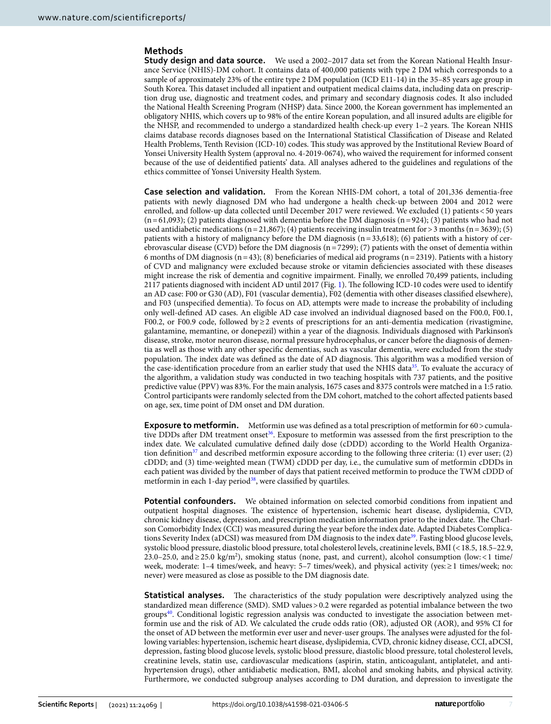# **Methods**

**Study design and data source.** We used a 2002–2017 data set from the Korean National Health Insurance Service (NHIS)-DM cohort. It contains data of 400,000 patients with type 2 DM which corresponds to a sample of approximately 23% of the entire type 2 DM population (ICD E11-14) in the 35–85 years age group in South Korea. Tis dataset included all inpatient and outpatient medical claims data, including data on prescription drug use, diagnostic and treatment codes, and primary and secondary diagnosis codes. It also included the National Health Screening Program (NHSP) data. Since 2000, the Korean government has implemented an obligatory NHIS, which covers up to 98% of the entire Korean population, and all insured adults are eligible for the NHSP, and recommended to undergo a standardized health check-up every 1-2 years. The Korean NHIS claims database records diagnoses based on the International Statistical Classifcation of Disease and Related Health Problems, Tenth Revision (ICD-10) codes. Tis study was approved by the Institutional Review Board of Yonsei University Health System (approval no. 4-2019-0674), who waived the requirement for informed consent because of the use of deidentifed patients' data. All analyses adhered to the guidelines and regulations of the ethics committee of Yonsei University Health System.

**Case selection and validation.** From the Korean NHIS-DM cohort, a total of 201,336 dementia-free patients with newly diagnosed DM who had undergone a health check-up between 2004 and 2012 were enrolled, and follow-up data collected until December 2017 were reviewed. We excluded (1) patients<50 years  $(n=61,093)$ ; (2) patients diagnosed with dementia before the DM diagnosis  $(n=924)$ ; (3) patients who had not used antidiabetic medications (n=21,867); (4) patients receiving insulin treatment for > 3 months (n=3639); (5) patients with a history of malignancy before the DM diagnosis  $(n=33,618)$ ; (6) patients with a history of cerebrovascular disease (CVD) before the DM diagnosis ( $n=7299$ ); (7) patients with the onset of dementia within 6 months of DM diagnosis (n=43); (8) beneficiaries of medical aid programs (n=2319). Patients with a history of CVD and malignancy were excluded because stroke or vitamin defciencies associated with these diseases might increase the risk of dementia and cognitive impairment. Finally, we enrolled 70,499 patients, including 2117 patients diagnosed with incident AD until 2017 (Fig. [1\)](#page-1-0). Te following ICD-10 codes were used to identify an AD case: F00 or G30 (AD), F01 (vascular dementia), F02 (dementia with other diseases classifed elsewhere), and F03 (unspecifed dementia). To focus on AD, attempts were made to increase the probability of including only well-defned AD cases. An eligible AD case involved an individual diagnosed based on the F00.0, F00.1, F00.2, or F00.9 code, followed by≥2 events of prescriptions for an anti-dementia medication (rivastigmine, galantamine, memantine, or donepezil) within a year of the diagnosis. Individuals diagnosed with Parkinson's disease, stroke, motor neuron disease, normal pressure hydrocephalus, or cancer before the diagnosis of dementia as well as those with any other specifc dementias, such as vascular dementia, were excluded from the study population. The index date was defined as the date of AD diagnosis. This algorithm was a modified version of the case-identification procedure from an earlier study that used the NHIS data<sup>35</sup>. To evaluate the accuracy of the algorithm, a validation study was conducted in two teaching hospitals with 737 patients, and the positive predictive value (PPV) was 83%. For the main analysis, 1675 cases and 8375 controls were matched in a 1:5 ratio. Control participants were randomly selected from the DM cohort, matched to the cohort afected patients based on age, sex, time point of DM onset and DM duration.

**Exposure to metformin.** Metformin use was defined as a total prescription of metformin for 60 > cumula-tive DDDs after DM treatment onset<sup>[36](#page-8-4)</sup>. Exposure to metformin was assessed from the first prescription to the index date. We calculated cumulative defned daily dose (cDDD) according to the World Health Organization definition<sup>37</sup> and described metformin exposure according to the following three criteria: (1) ever user; (2) cDDD; and (3) time-weighted mean (TWM) cDDD per day, i.e., the cumulative sum of metformin cDDDs in each patient was divided by the number of days that patient received metformin to produce the TWM cDDD of metformin in each 1-day period<sup>38</sup>, were classified by quartiles.

**Potential confounders.** We obtained information on selected comorbid conditions from inpatient and outpatient hospital diagnoses. Te existence of hypertension, ischemic heart disease, dyslipidemia, CVD, chronic kidney disease, depression, and prescription medication information prior to the index date. The Charlson Comorbidity Index (CCI) was measured during the year before the index date. Adapted Diabetes Complica-tions Severity Index (aDCSI) was measured from DM diagnosis to the index date<sup>[39](#page-8-7)</sup>. Fasting blood glucose levels, systolic blood pressure, diastolic blood pressure, total cholesterol levels, creatinine levels, BMI (<18.5, 18.5–22.9, 23.0–25.0, and ≥25.0 kg/m<sup>2</sup>), smoking status (none, past, and current), alcohol consumption (low: <1 time/ week, moderate: 1–4 times/week, and heavy: 5–7 times/week), and physical activity (yes:≥1 times/week; no: never) were measured as close as possible to the DM diagnosis date.

**Statistical analyses.** The characteristics of the study population were descriptively analyzed using the standardized mean diference (SMD). SMD values>0.2 were regarded as potential imbalance between the two groups[40](#page-8-8). Conditional logistic regression analysis was conducted to investigate the association between metformin use and the risk of AD. We calculated the crude odds ratio (OR), adjusted OR (AOR), and 95% CI for the onset of AD between the metformin ever user and never-user groups. The analyses were adjusted for the following variables: hypertension, ischemic heart disease, dyslipidemia, CVD, chronic kidney disease, CCI, aDCSI, depression, fasting blood glucose levels, systolic blood pressure, diastolic blood pressure, total cholesterol levels, creatinine levels, statin use, cardiovascular medications (aspirin, statin, anticoagulant, antiplatelet, and antihypertension drugs), other antidiabetic medication, BMI, alcohol and smoking habits, and physical activity. Furthermore, we conducted subgroup analyses according to DM duration, and depression to investigate the

7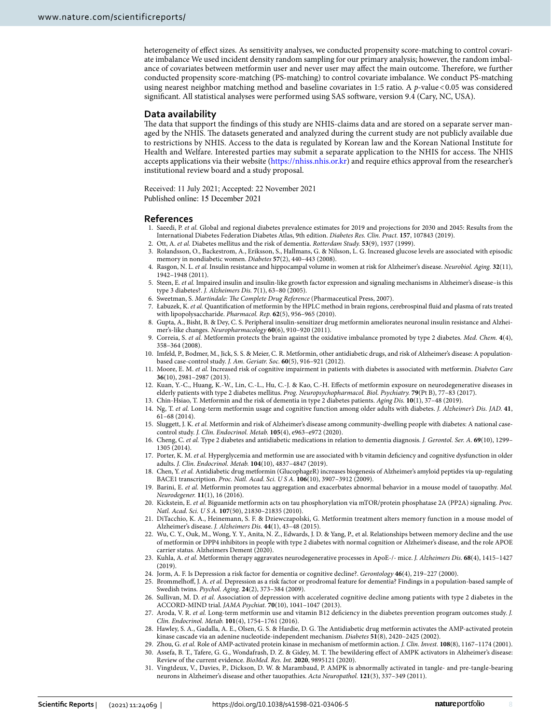heterogeneity of efect sizes. As sensitivity analyses, we conducted propensity score-matching to control covariate imbalance We used incident density random sampling for our primary analysis; however, the random imbalance of covariates between metformin user and never user may affect the main outcome. Therefore, we further conducted propensity score-matching (PS-matching) to control covariate imbalance. We conduct PS-matching using nearest neighbor matching method and baseline covariates in 1:5 ratio. A *p*-value <0.05 was considered signifcant. All statistical analyses were performed using SAS sofware, version 9.4 (Cary, NC, USA).

### **Data availability**

The data that support the findings of this study are NHIS-claims data and are stored on a separate server managed by the NHIS. The datasets generated and analyzed during the current study are not publicly available due to restrictions by NHIS. Access to the data is regulated by Korean law and the Korean National Institute for Health and Welfare. Interested parties may submit a separate application to the NHIS for access. The NHIS accepts applications via their website ([https://nhiss.nhis.or.kr\)](https://nhiss.nhis.or.kr) and require ethics approval from the researcher's institutional review board and a study proposal.

Received: 11 July 2021; Accepted: 22 November 2021

#### **References**

- <span id="page-7-0"></span>1. Saeedi, P. *et al.* Global and regional diabetes prevalence estimates for 2019 and projections for 2030 and 2045: Results from the International Diabetes Federation Diabetes Atlas, 9th edition. *Diabetes Res. Clin. Pract.* **157**, 107843 (2019).
- <span id="page-7-1"></span>2. Ott, A. *et al.* Diabetes mellitus and the risk of dementia. *Rotterdam Study.* **53**(9), 1937 (1999).
- <span id="page-7-2"></span>3. Rolandsson, O., Backestrom, A., Eriksson, S., Hallmans, G. & Nilsson, L. G. Increased glucose levels are associated with episodic memory in nondiabetic women. *Diabetes* **57**(2), 440–443 (2008).
- <span id="page-7-3"></span>4. Rasgon, N. L. *et al.* Insulin resistance and hippocampal volume in women at risk for Alzheimer's disease. *Neurobiol. Aging.* **32**(11), 1942–1948 (2011).
- <span id="page-7-4"></span>5. Steen, E. *et al.* Impaired insulin and insulin-like growth factor expression and signaling mechanisms in Alzheimer's disease–is this type 3 diabetes?. *J. Alzheimers Dis.* **7**(1), 63–80 (2005).
- <span id="page-7-5"></span>6. Sweetman, S. Martindale: The Complete Drug Reference (Pharmaceutical Press, 2007).
- <span id="page-7-6"></span>7. Łabuzek, K. *et al.* Quantifcation of metformin by the HPLC method in brain regions, cerebrospinal fuid and plasma of rats treated with lipopolysaccharide. *Pharmacol. Rep.* **62**(5), 956–965 (2010).
- <span id="page-7-7"></span>8. Gupta, A., Bisht, B. & Dey, C. S. Peripheral insulin-sensitizer drug metformin ameliorates neuronal insulin resistance and Alzheimer's-like changes. *Neuropharmacology* **60**(6), 910–920 (2011).
- <span id="page-7-8"></span>9. Correia, S. *et al.* Metformin protects the brain against the oxidative imbalance promoted by type 2 diabetes. *Med. Chem.* **4**(4), 358–364 (2008).
- <span id="page-7-9"></span>10. Imfeld, P., Bodmer, M., Jick, S. S. & Meier, C. R. Metformin, other antidiabetic drugs, and risk of Alzheimer's disease: A populationbased case-control study. *J. Am. Geriatr. Soc.* **60**(5), 916–921 (2012).
- <span id="page-7-10"></span>11. Moore, E. M. *et al.* Increased risk of cognitive impairment in patients with diabetes is associated with metformin. *Diabetes Care* **36**(10), 2981–2987 (2013).
- <span id="page-7-11"></span>12. Kuan, Y.-C., Huang, K.-W., Lin, C.-L., Hu, C.-J. & Kao, C.-H. Efects of metformin exposure on neurodegenerative diseases in elderly patients with type 2 diabetes mellitus. *Prog. Neuropsychopharmacol. Biol. Psychiatry.* **79**(Pt B), 77–83 (2017).
- <span id="page-7-12"></span>13. Chin-Hsiao, T. Metformin and the risk of dementia in type 2 diabetes patients. *Aging Dis.* **10**(1), 37–48 (2019).
- <span id="page-7-13"></span>14. Ng, T. *et al.* Long-term metformin usage and cognitive function among older adults with diabetes. *J. Alzheimer's Dis. JAD.* **41**, 61–68 (2014).
- <span id="page-7-14"></span>15. Sluggett, J. K. *et al.* Metformin and risk of Alzheimer's disease among community-dwelling people with diabetes: A national casecontrol study. *J. Clin. Endocrinol. Metab.* **105**(4), e963–e972 (2020).
- <span id="page-7-15"></span>16. Cheng, C. *et al.* Type 2 diabetes and antidiabetic medications in relation to dementia diagnosis. *J. Gerontol. Ser. A.* **69**(10), 1299– 1305 (2014).
- <span id="page-7-16"></span>17. Porter, K. M. *et al.* Hyperglycemia and metformin use are associated with b vitamin defciency and cognitive dysfunction in older adults. *J. Clin. Endocrinol. Metab.* **104**(10), 4837–4847 (2019).
- <span id="page-7-17"></span>18. Chen, Y. *et al.* Antidiabetic drug metformin (GlucophageR) increases biogenesis of Alzheimer's amyloid peptides via up-regulating BACE1 transcription. *Proc. Natl. Acad. Sci. U S A.* **106**(10), 3907–3912 (2009).
- <span id="page-7-18"></span>19. Barini, E. *et al.* Metformin promotes tau aggregation and exacerbates abnormal behavior in a mouse model of tauopathy. *Mol. Neurodegener.* **11**(1), 16 (2016).
- <span id="page-7-19"></span>20. Kickstein, E. *et al.* Biguanide metformin acts on tau phosphorylation via mTOR/protein phosphatase 2A (PP2A) signaling. *Proc. Natl. Acad. Sci. U S A.* **107**(50), 21830–21835 (2010).
- <span id="page-7-20"></span>21. DiTacchio, K. A., Heinemann, S. F. & Dziewczapolski, G. Metformin treatment alters memory function in a mouse model of Alzheimer's disease. *J. Alzheimers Dis.* **44**(1), 43–48 (2015).
- <span id="page-7-21"></span>22. Wu, C. Y., Ouk, M., Wong, Y. Y., Anita, N. Z., Edwards, J. D. & Yang, P., et al. Relationships between memory decline and the use of metformin or DPP4 inhibitors in people with type 2 diabetes with normal cognition or Alzheimer's disease, and the role APOE carrier status. Alzheimers Dement (2020).
- <span id="page-7-22"></span>23. Kuhla, A. *et al.* Metformin therapy aggravates neurodegenerative processes in ApoE-/- mice. *J. Alzheimers Dis.* **68**(4), 1415–1427 (2019).
- <span id="page-7-23"></span>24. Jorm, A. F. Is Depression a risk factor for dementia or cognitive decline?. *Gerontology* **46**(4), 219–227 (2000).
- <span id="page-7-24"></span>25. Brommelhof, J. A. *et al.* Depression as a risk factor or prodromal feature for dementia? Findings in a population-based sample of Swedish twins. *Psychol. Aging.* **24**(2), 373–384 (2009).
- <span id="page-7-25"></span>26. Sullivan, M. D. *et al.* Association of depression with accelerated cognitive decline among patients with type 2 diabetes in the ACCORD-MIND trial. *JAMA Psychiat.* **70**(10), 1041–1047 (2013).
- <span id="page-7-26"></span>27. Aroda, V. R. *et al.* Long-term metformin use and vitamin B12 defciency in the diabetes prevention program outcomes study. *J. Clin. Endocrinol. Metab.* **101**(4), 1754–1761 (2016).
- <span id="page-7-27"></span>28. Hawley, S. A., Gadalla, A. E., Olsen, G. S. & Hardie, D. G. Te Antidiabetic drug metformin activates the AMP-activated protein kinase cascade via an adenine nucleotide-independent mechanism. *Diabetes* **51**(8), 2420–2425 (2002).
- <span id="page-7-28"></span>29. Zhou, G. *et al.* Role of AMP-activated protein kinase in mechanism of metformin action. *J. Clin. Invest.* **108**(8), 1167–1174 (2001).
- <span id="page-7-29"></span>30. Assefa, B. T., Tafere, G. G., Wondafrash, D. Z. & Gidey, M. T. Te bewildering efect of AMPK activators in Alzheimer's disease: Review of the current evidence. *BioMed. Res. Int.* **2020**, 9895121 (2020).
- <span id="page-7-30"></span>31. Vingtdeux, V., Davies, P., Dickson, D. W. & Marambaud, P. AMPK is abnormally activated in tangle- and pre-tangle-bearing neurons in Alzheimer's disease and other tauopathies. *Acta Neuropathol.* **121**(3), 337–349 (2011).